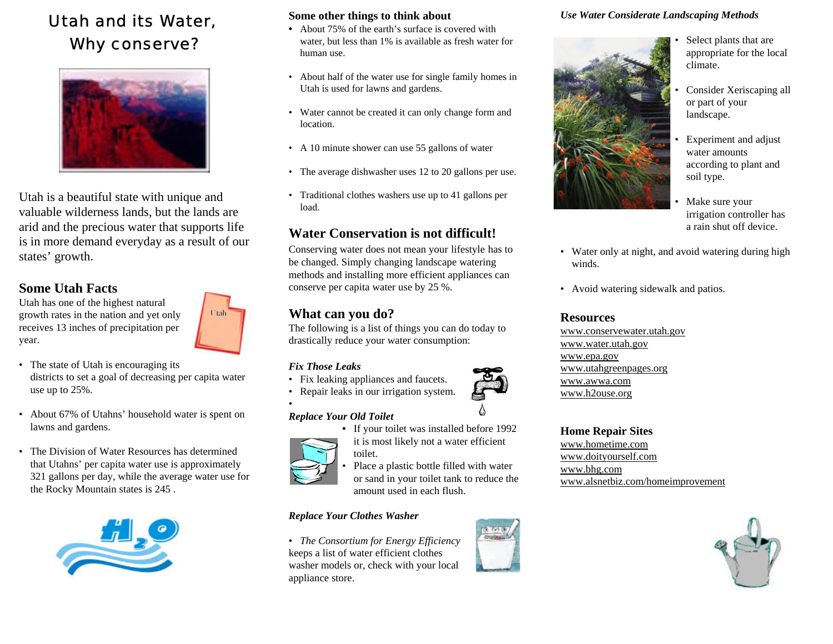# Utah and its Water, Why conserve?



Utah is a beautiful state with unique and valuable wilderness lands, but the lands are arid and the precious water that supports life is in more demand everyday as a result of our states' growth.

## **Some Utah Facts**

Utah has one of the highest natural growth rates in the nation and yet only receives 13 inches of precipitation per year.



- The state of Utah is encouraging its districts to set a goal of decreasing per capita water use up to 25%.
- About 67% of Utahns' household water is spent on lawns and gardens.
- The Division of Water Resources has determinedthat Utahns' per capita water use is approximately 321 gallons per day, while the average water use for the Rocky Mountain states is 245 .



#### **Some other things to think about**

- **•** About 75% of the earth's surface is covered withwater, but less than 1% is available as fresh water for human use.
- About half of the water use for single family homes in Utah is used for lawns and gardens.
- Water cannot be created it can only change form and location.
- A 10 minute shower can use 55 gallons of water
- The average dishwasher uses 12 to 20 gallons per use.
- Traditional clothes washers use up to 41 gallons per load.

# **Water Conservation is not difficult!**

Conserving water does not mean your lifestyle has to be changed. Simply changing landscape watering methods and installing more efficient appliances can conserve per capita water use by 25 %.

# **What can you do?**

The following is a list of things you can do today to drastically reduce your water consumption:

#### *Fix Those Leaks*

- Fix leaking appliances and faucets.
- Repair leaks in our irrigation system.



**•** If your toilet was installed before 1992



it is most likely not a water efficient toilet.Place a plastic bottle filled with water

or sand in your toilet tank to reduce the amount used in each flush.

#### *Replace Your Clothes Washer*

• *The Consortium for Energy Efficiency* keeps a list of water efficient clothes washer models or, check with your local appliance store.



#### *Use Water Considerate Landscaping Methods*



- • Select plants that are appropriate for the local climate.
- Consider Xeriscaping all or part of your landscape.
- Experiment and adjust water amountsaccording to plant and soil type.
- Make sure your irrigation controller has a rain shut off device.
- Water only at night, and avoid watering during high winds.
- Avoid watering sidewalk and patios.

### **Resources**

www.conservewater.utah.gov www.water.utah.gov www.epa.gov www.utahgreenpages.org www.awwa.comwww.h2ouse.org

**Home Repair Sites** www.hometime.comwww.doityourself.com www.bhg.com www.alsnetbiz.com/homeimprovement